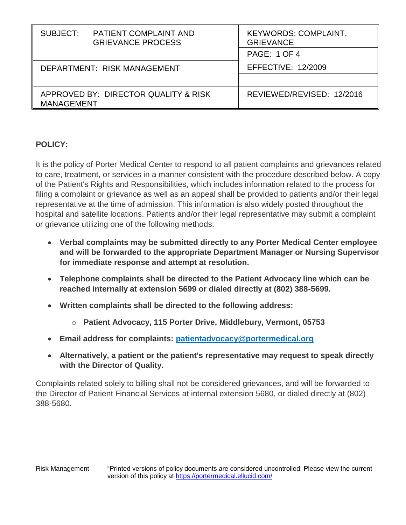| SUBJECT:                                                  | <b>PATIENT COMPLAINT AND</b><br><b>GRIEVANCE PROCESS</b> | <b>KEYWORDS: COMPLAINT,</b><br><b>GRIEVANCE</b><br><b>PAGE: 1 OF 4</b> |
|-----------------------------------------------------------|----------------------------------------------------------|------------------------------------------------------------------------|
| DEPARTMENT: RISK MANAGEMENT                               |                                                          | <b>EFFECTIVE: 12/2009</b>                                              |
| APPROVED BY: DIRECTOR QUALITY & RISK<br><b>MANAGEMENT</b> |                                                          | REVIEWED/REVISED: 12/2016                                              |

## **POLICY:**

It is the policy of Porter Medical Center to respond to all patient complaints and grievances related to care, treatment, or services in a manner consistent with the procedure described below. A copy of the Patient's Rights and Responsibilities, which includes information related to the process for filing a complaint or grievance as well as an appeal shall be provided to patients and/or their legal representative at the time of admission. This information is also widely posted throughout the hospital and satellite locations. Patients and/or their legal representative may submit a complaint or grievance utilizing one of the following methods:

- **Verbal complaints may be submitted directly to any Porter Medical Center employee and will be forwarded to the appropriate Department Manager or Nursing Supervisor for immediate response and attempt at resolution.**
- **Telephone complaints shall be directed to the Patient Advocacy line which can be reached internally at extension 5699 or dialed directly at (802) 388-5699.**
- **Written complaints shall be directed to the following address:**
	- o **Patient Advocacy, 115 Porter Drive, Middlebury, Vermont, 05753**
- **Email address for complaints: patientadvocac[y@portermedical.org](mailto:customerservice@portermedical.org)**
- **Alternatively, a patient or the patient's representative may request to speak directly with the Director of Quality.**

Complaints related solely to billing shall not be considered grievances, and will be forwarded to the Director of Patient Financial Services at internal extension 5680, or dialed directly at (802) 388-5680.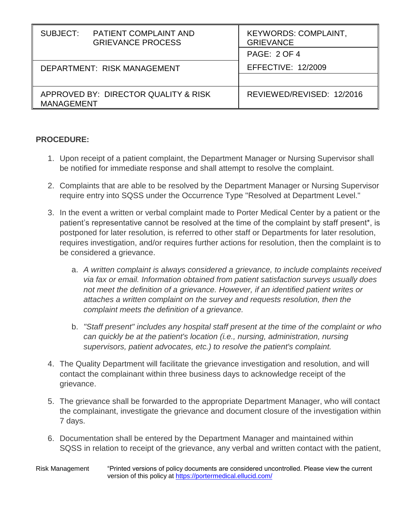| SUBJECT:<br><b>PATIENT COMPLAINT AND</b><br><b>GRIEVANCE PROCESS</b> | <b>KEYWORDS: COMPLAINT,</b><br><b>GRIEVANCE</b><br><b>PAGE: 2 OF 4</b> |
|----------------------------------------------------------------------|------------------------------------------------------------------------|
| DEPARTMENT: RISK MANAGEMENT                                          | <b>EFFECTIVE: 12/2009</b>                                              |
| APPROVED BY: DIRECTOR QUALITY & RISK<br><b>MANAGEMENT</b>            | REVIEWED/REVISED: 12/2016                                              |

## **PROCEDURE:**

- 1. Upon receipt of a patient complaint, the Department Manager or Nursing Supervisor shall be notified for immediate response and shall attempt to resolve the complaint.
- 2. Complaints that are able to be resolved by the Department Manager or Nursing Supervisor require entry into SQSS under the Occurrence Type "Resolved at Department Level."
- 3. In the event a written or verbal complaint made to Porter Medical Center by a patient or the patient's representative cannot be resolved at the time of the complaint by staff present\*, is postponed for later resolution, is referred to other staff or Departments for later resolution, requires investigation, and/or requires further actions for resolution, then the complaint is to be considered a grievance.
	- a. *A written complaint is always considered a grievance, to include complaints received via fax or email. Information obtained from patient satisfaction surveys usually does not meet the definition of a grievance. However, if an identified patient writes or attaches a written complaint on the survey and requests resolution, then the complaint meets the definition of a grievance.*
	- b. *"Staff present" includes any hospital staff present at the time of the complaint or who can quickly be at the patient's location (i.e., nursing, administration, nursing supervisors, patient advocates, etc.) to resolve the patient's complaint.*
- 4. The Quality Department will facilitate the grievance investigation and resolution, and will contact the complainant within three business days to acknowledge receipt of the grievance.
- 5. The grievance shall be forwarded to the appropriate Department Manager, who will contact the complainant, investigate the grievance and document closure of the investigation within 7 days.
- 6. Documentation shall be entered by the Department Manager and maintained within SQSS in relation to receipt of the grievance, any verbal and written contact with the patient,

## Risk Management "Printed versions of policy documents are considered uncontrolled. Please view the current version of this policy at<https://portermedical.ellucid.com/>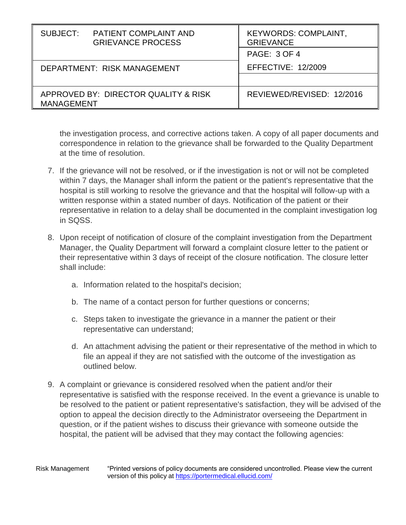| SUBJECT:                                                  | <b>PATIENT COMPLAINT AND</b><br><b>GRIEVANCE PROCESS</b> | <b>KEYWORDS: COMPLAINT,</b><br><b>GRIEVANCE</b> |
|-----------------------------------------------------------|----------------------------------------------------------|-------------------------------------------------|
|                                                           |                                                          | <b>PAGE: 3 OF 4</b>                             |
| DEPARTMENT: RISK MANAGEMENT                               |                                                          | <b>EFFECTIVE: 12/2009</b>                       |
|                                                           |                                                          |                                                 |
| APPROVED BY: DIRECTOR QUALITY & RISK<br><b>MANAGEMENT</b> |                                                          | REVIEWED/REVISED: 12/2016                       |

the investigation process, and corrective actions taken. A copy of all paper documents and correspondence in relation to the grievance shall be forwarded to the Quality Department at the time of resolution.

- 7. If the grievance will not be resolved, or if the investigation is not or will not be completed within 7 days, the Manager shall inform the patient or the patient's representative that the hospital is still working to resolve the grievance and that the hospital will follow-up with a written response within a stated number of days. Notification of the patient or their representative in relation to a delay shall be documented in the complaint investigation log in SQSS.
- 8. Upon receipt of notification of closure of the complaint investigation from the Department Manager, the Quality Department will forward a complaint closure letter to the patient or their representative within 3 days of receipt of the closure notification. The closure letter shall include:
	- a. Information related to the hospital's decision;
	- b. The name of a contact person for further questions or concerns;
	- c. Steps taken to investigate the grievance in a manner the patient or their representative can understand;
	- d. An attachment advising the patient or their representative of the method in which to file an appeal if they are not satisfied with the outcome of the investigation as outlined below.
- 9. A complaint or grievance is considered resolved when the patient and/or their representative is satisfied with the response received. In the event a grievance is unable to be resolved to the patient or patient representative's satisfaction, they will be advised of the option to appeal the decision directly to the Administrator overseeing the Department in question, or if the patient wishes to discuss their grievance with someone outside the hospital, the patient will be advised that they may contact the following agencies: